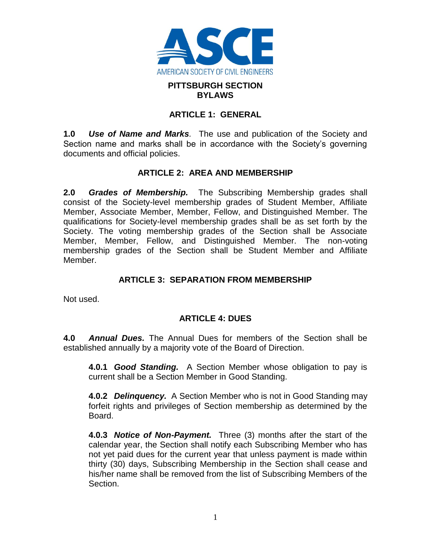

#### **PITTSBURGH SECTION BYLAWS**

#### **ARTICLE 1: GENERAL**

**1.0** *Use of Name and Marks.* The use and publication of the Society and Section name and marks shall be in accordance with the Society's governing documents and official policies.

#### **ARTICLE 2: AREA AND MEMBERSHIP**

**2.0** *Grades of Membership.* The Subscribing Membership grades shall consist of the Society-level membership grades of Student Member, Affiliate Member, Associate Member, Member, Fellow, and Distinguished Member. The qualifications for Society-level membership grades shall be as set forth by the Society. The voting membership grades of the Section shall be Associate Member, Member, Fellow, and Distinguished Member. The non-voting membership grades of the Section shall be Student Member and Affiliate Member.

### **ARTICLE 3: SEPARATION FROM MEMBERSHIP**

Not used.

### **ARTICLE 4: DUES**

**4.0** *Annual Dues.* The Annual Dues for members of the Section shall be established annually by a majority vote of the Board of Direction.

**4.0.1** *Good Standing.* A Section Member whose obligation to pay is current shall be a Section Member in Good Standing.

**4.0.2** *Delinquency.* A Section Member who is not in Good Standing may forfeit rights and privileges of Section membership as determined by the Board.

**4.0.3** *Notice of Non-Payment.* Three (3) months after the start of the calendar year, the Section shall notify each Subscribing Member who has not yet paid dues for the current year that unless payment is made within thirty (30) days, Subscribing Membership in the Section shall cease and his/her name shall be removed from the list of Subscribing Members of the Section.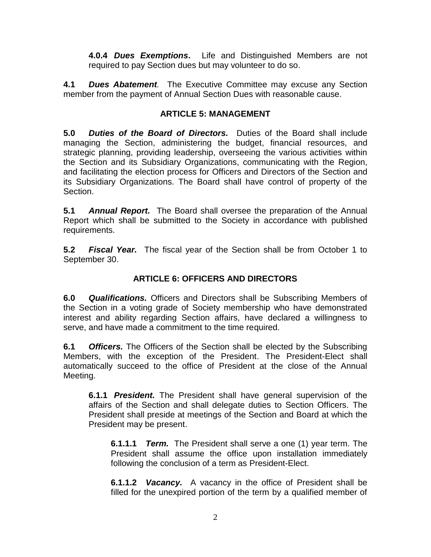**4.0.4** *Dues Exemptions***.** Life and Distinguished Members are not required to pay Section dues but may volunteer to do so.

**4.1** *Dues Abatement.* The Executive Committee may excuse any Section member from the payment of Annual Section Dues with reasonable cause.

## **ARTICLE 5: MANAGEMENT**

**5.0** *Duties of the Board of Directors.* Duties of the Board shall include managing the Section, administering the budget, financial resources, and strategic planning, providing leadership, overseeing the various activities within the Section and its Subsidiary Organizations, communicating with the Region, and facilitating the election process for Officers and Directors of the Section and its Subsidiary Organizations. The Board shall have control of property of the Section.

**5.1** *Annual Report.* The Board shall oversee the preparation of the Annual Report which shall be submitted to the Society in accordance with published requirements.

**5.2** *Fiscal Year.* The fiscal year of the Section shall be from October 1 to September 30.

# **ARTICLE 6: OFFICERS AND DIRECTORS**

**6.0** *Qualifications.* Officers and Directors shall be Subscribing Members of the Section in a voting grade of Society membership who have demonstrated interest and ability regarding Section affairs, have declared a willingness to serve, and have made a commitment to the time required.

**6.1** *Officers.* The Officers of the Section shall be elected by the Subscribing Members, with the exception of the President. The President-Elect shall automatically succeed to the office of President at the close of the Annual Meeting.

**6.1.1** *President.* The President shall have general supervision of the affairs of the Section and shall delegate duties to Section Officers. The President shall preside at meetings of the Section and Board at which the President may be present.

**6.1.1.1** *Term.* The President shall serve a one (1) year term. The President shall assume the office upon installation immediately following the conclusion of a term as President-Elect.

**6.1.1.2** *Vacancy.* A vacancy in the office of President shall be filled for the unexpired portion of the term by a qualified member of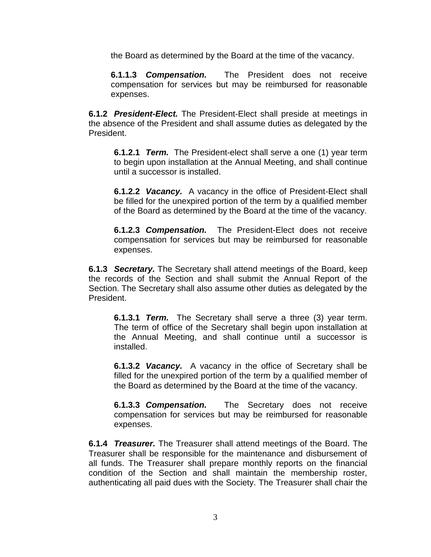the Board as determined by the Board at the time of the vacancy.

**6.1.1.3** *Compensation.* The President does not receive compensation for services but may be reimbursed for reasonable expenses.

**6.1.2** *President-Elect.* The President-Elect shall preside at meetings in the absence of the President and shall assume duties as delegated by the President.

**6.1.2.1** *Term.* The President-elect shall serve a one (1) year term to begin upon installation at the Annual Meeting, and shall continue until a successor is installed.

**6.1.2.2** *Vacancy.* A vacancy in the office of President-Elect shall be filled for the unexpired portion of the term by a qualified member of the Board as determined by the Board at the time of the vacancy.

**6.1.2.3** *Compensation.* The President-Elect does not receive compensation for services but may be reimbursed for reasonable expenses.

**6.1.3** *Secretary.* The Secretary shall attend meetings of the Board, keep the records of the Section and shall submit the Annual Report of the Section. The Secretary shall also assume other duties as delegated by the President.

**6.1.3.1** *Term.* The Secretary shall serve a three (3) year term. The term of office of the Secretary shall begin upon installation at the Annual Meeting, and shall continue until a successor is installed.

**6.1.3.2** *Vacancy.* A vacancy in the office of Secretary shall be filled for the unexpired portion of the term by a qualified member of the Board as determined by the Board at the time of the vacancy.

**6.1.3.3** *Compensation.* The Secretary does not receive compensation for services but may be reimbursed for reasonable expenses.

**6.1.4** *Treasurer.* The Treasurer shall attend meetings of the Board. The Treasurer shall be responsible for the maintenance and disbursement of all funds. The Treasurer shall prepare monthly reports on the financial condition of the Section and shall maintain the membership roster, authenticating all paid dues with the Society. The Treasurer shall chair the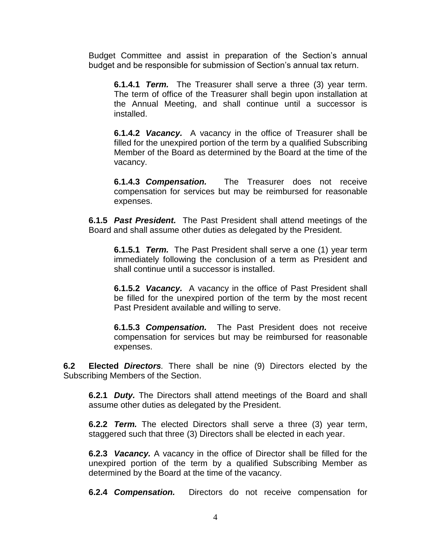Budget Committee and assist in preparation of the Section's annual budget and be responsible for submission of Section's annual tax return.

**6.1.4.1** *Term.* The Treasurer shall serve a three (3) year term. The term of office of the Treasurer shall begin upon installation at the Annual Meeting, and shall continue until a successor is installed.

**6.1.4.2** *Vacancy.* A vacancy in the office of Treasurer shall be filled for the unexpired portion of the term by a qualified Subscribing Member of the Board as determined by the Board at the time of the vacancy.

**6.1.4.3** *Compensation.* The Treasurer does not receive compensation for services but may be reimbursed for reasonable expenses.

**6.1.5** *Past President.* The Past President shall attend meetings of the Board and shall assume other duties as delegated by the President.

**6.1.5.1** *Term.* The Past President shall serve a one (1) year term immediately following the conclusion of a term as President and shall continue until a successor is installed.

**6.1.5.2** *Vacancy.* A vacancy in the office of Past President shall be filled for the unexpired portion of the term by the most recent Past President available and willing to serve.

**6.1.5.3** *Compensation.* The Past President does not receive compensation for services but may be reimbursed for reasonable expenses.

**6.2 Elected** *Directors.* There shall be nine (9) Directors elected by the Subscribing Members of the Section.

**6.2.1** *Duty.* The Directors shall attend meetings of the Board and shall assume other duties as delegated by the President.

**6.2.2** *Term.* The elected Directors shall serve a three (3) year term, staggered such that three (3) Directors shall be elected in each year.

**6.2.3** *Vacancy.* A vacancy in the office of Director shall be filled for the unexpired portion of the term by a qualified Subscribing Member as determined by the Board at the time of the vacancy.

**6.2.4** *Compensation.* Directors do not receive compensation for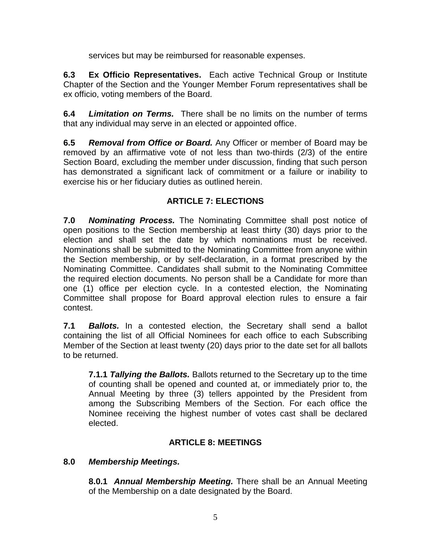services but may be reimbursed for reasonable expenses.

**6.3 Ex Officio Representatives.** Each active Technical Group or Institute Chapter of the Section and the Younger Member Forum representatives shall be ex officio, voting members of the Board.

**6.4** *Limitation on Terms.* There shall be no limits on the number of terms that any individual may serve in an elected or appointed office.

**6.5** *Removal from Office or Board.* Any Officer or member of Board may be removed by an affirmative vote of not less than two-thirds (2/3) of the entire Section Board, excluding the member under discussion, finding that such person has demonstrated a significant lack of commitment or a failure or inability to exercise his or her fiduciary duties as outlined herein.

# **ARTICLE 7: ELECTIONS**

**7.0** *Nominating Process.* The Nominating Committee shall post notice of open positions to the Section membership at least thirty (30) days prior to the election and shall set the date by which nominations must be received. Nominations shall be submitted to the Nominating Committee from anyone within the Section membership, or by self-declaration, in a format prescribed by the Nominating Committee. Candidates shall submit to the Nominating Committee the required election documents. No person shall be a Candidate for more than one (1) office per election cycle. In a contested election, the Nominating Committee shall propose for Board approval election rules to ensure a fair contest.

**7.1** *Ballots.* In a contested election, the Secretary shall send a ballot containing the list of all Official Nominees for each office to each Subscribing Member of the Section at least twenty (20) days prior to the date set for all ballots to be returned.

**7.1.1** *Tallying the Ballots.* Ballots returned to the Secretary up to the time of counting shall be opened and counted at, or immediately prior to, the Annual Meeting by three (3) tellers appointed by the President from among the Subscribing Members of the Section. For each office the Nominee receiving the highest number of votes cast shall be declared elected.

# **ARTICLE 8: MEETINGS**

### **8.0** *Membership Meetings.*

**8.0.1** *Annual Membership Meeting.* There shall be an Annual Meeting of the Membership on a date designated by the Board.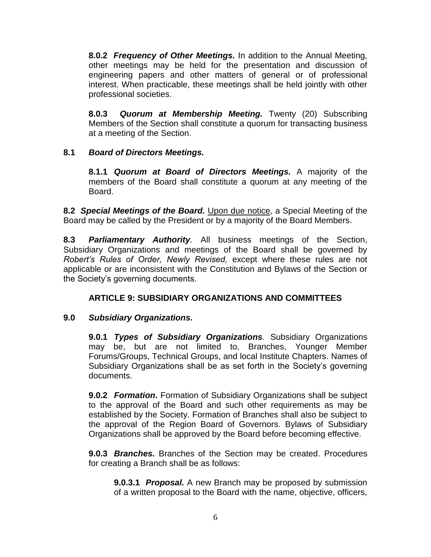**8.0.2** *Frequency of Other Meetings.* In addition to the Annual Meeting, other meetings may be held for the presentation and discussion of engineering papers and other matters of general or of professional interest. When practicable, these meetings shall be held jointly with other professional societies.

**8.0.3** *Quorum at Membership Meeting.* Twenty (20) Subscribing Members of the Section shall constitute a quorum for transacting business at a meeting of the Section.

### **8.1** *Board of Directors Meetings.*

**8.1.1** *Quorum at Board of Directors Meetings.* A majority of the members of the Board shall constitute a quorum at any meeting of the Board.

**8.2** *Special Meetings of the Board.* Upon due notice, a Special Meeting of the Board may be called by the President or by a majority of the Board Members.

**8.3** *Parliamentary Authority.* All business meetings of the Section, Subsidiary Organizations and meetings of the Board shall be governed by *Robert's Rules of Order, Newly Revised,* except where these rules are not applicable or are inconsistent with the Constitution and Bylaws of the Section or the Society's governing documents.

# **ARTICLE 9: SUBSIDIARY ORGANIZATIONS AND COMMITTEES**

### **9.0** *Subsidiary Organizations.*

**9.0.1** *Types of Subsidiary Organizations.* Subsidiary Organizations may be, but are not limited to, Branches, Younger Member Forums/Groups, Technical Groups, and local Institute Chapters. Names of Subsidiary Organizations shall be as set forth in the Society's governing documents.

**9.0.2** *Formation***.** Formation of Subsidiary Organizations shall be subject to the approval of the Board and such other requirements as may be established by the Society. Formation of Branches shall also be subject to the approval of the Region Board of Governors. Bylaws of Subsidiary Organizations shall be approved by the Board before becoming effective.

**9.0.3** *Branches.* Branches of the Section may be created. Procedures for creating a Branch shall be as follows:

**9.0.3.1** *Proposal.* A new Branch may be proposed by submission of a written proposal to the Board with the name, objective, officers,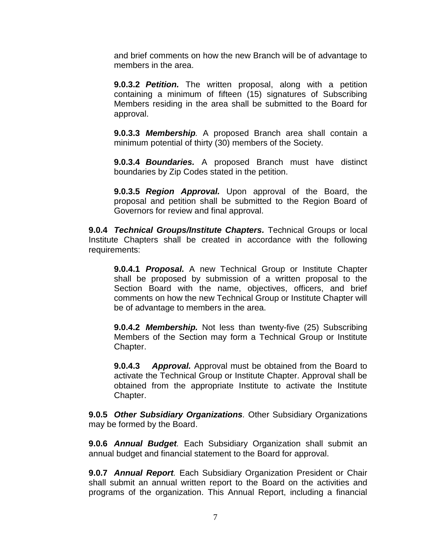and brief comments on how the new Branch will be of advantage to members in the area.

**9.0.3.2** *Petition.* The written proposal, along with a petition containing a minimum of fifteen (15) signatures of Subscribing Members residing in the area shall be submitted to the Board for approval.

**9.0.3.3** *Membership.* A proposed Branch area shall contain a minimum potential of thirty (30) members of the Society.

**9.0.3.4** *Boundaries.* A proposed Branch must have distinct boundaries by Zip Codes stated in the petition.

**9.0.3.5** *Region Approval.* Upon approval of the Board, the proposal and petition shall be submitted to the Region Board of Governors for review and final approval.

**9.0.4** *Technical Groups/Institute Chapters.* Technical Groups or local Institute Chapters shall be created in accordance with the following requirements:

**9.0.4.1** *Proposal.* A new Technical Group or Institute Chapter shall be proposed by submission of a written proposal to the Section Board with the name, objectives, officers, and brief comments on how the new Technical Group or Institute Chapter will be of advantage to members in the area.

**9.0.4.2** *Membership.* Not less than twenty-five (25) Subscribing Members of the Section may form a Technical Group or Institute Chapter.

**9.0.4.3** *Approval.* Approval must be obtained from the Board to activate the Technical Group or Institute Chapter. Approval shall be obtained from the appropriate Institute to activate the Institute Chapter.

**9.0.5** *Other Subsidiary Organizations.* Other Subsidiary Organizations may be formed by the Board.

**9.0.6** *Annual Budget.* Each Subsidiary Organization shall submit an annual budget and financial statement to the Board for approval.

**9.0.7** *Annual Report.* Each Subsidiary Organization President or Chair shall submit an annual written report to the Board on the activities and programs of the organization. This Annual Report, including a financial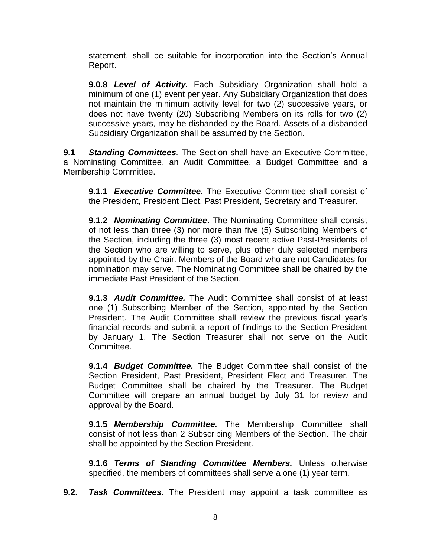statement, shall be suitable for incorporation into the Section's Annual Report.

**9.0.8** *Level of Activity.* Each Subsidiary Organization shall hold a minimum of one (1) event per year. Any Subsidiary Organization that does not maintain the minimum activity level for two (2) successive years, or does not have twenty (20) Subscribing Members on its rolls for two (2) successive years, may be disbanded by the Board. Assets of a disbanded Subsidiary Organization shall be assumed by the Section.

**9.1** *Standing Committees.* The Section shall have an Executive Committee, a Nominating Committee, an Audit Committee, a Budget Committee and a Membership Committee.

**9.1.1** *Executive Committee***.** The Executive Committee shall consist of the President, President Elect, Past President, Secretary and Treasurer.

**9.1.2** *Nominating Committee***.** The Nominating Committee shall consist of not less than three (3) nor more than five (5) Subscribing Members of the Section, including the three (3) most recent active Past-Presidents of the Section who are willing to serve, plus other duly selected members appointed by the Chair. Members of the Board who are not Candidates for nomination may serve. The Nominating Committee shall be chaired by the immediate Past President of the Section.

**9.1.3** *Audit Committee.* The Audit Committee shall consist of at least one (1) Subscribing Member of the Section, appointed by the Section President. The Audit Committee shall review the previous fiscal year's financial records and submit a report of findings to the Section President by January 1. The Section Treasurer shall not serve on the Audit Committee.

**9.1.4** *Budget Committee.* The Budget Committee shall consist of the Section President, Past President, President Elect and Treasurer. The Budget Committee shall be chaired by the Treasurer. The Budget Committee will prepare an annual budget by July 31 for review and approval by the Board.

**9.1.5** *Membership Committee.* The Membership Committee shall consist of not less than 2 Subscribing Members of the Section. The chair shall be appointed by the Section President.

**9.1.6** *Terms of Standing Committee Members.* Unless otherwise specified, the members of committees shall serve a one (1) year term.

**9.2.** *Task Committees.* The President may appoint a task committee as